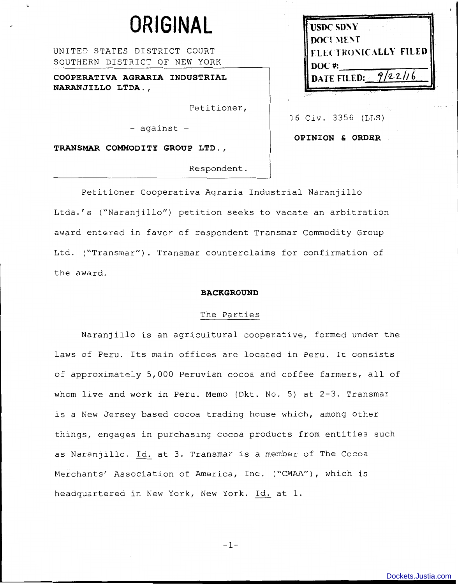# **ORIGINAL**

UNITED STATES DISTRICT COURT SOUTHERN DISTRICT OF NEW YORK

**COOPERATIVA AGRARIA INDUSTRIAL NARANJILLO LTDA.,** 

Petitioner,

- against -

**TRANSMAR COMMODITY GROUP LTD.,** 

Respondent.

Petitioner Cooperativa Agraria Industrial Naranjillo Ltda.'s ("Naranjillo") petition seeks to vacate an arbitration award entered in favor of respondent Transmar Commodity Group Ltd. ("Transmar"). Transmar counterclaims for confirmation of the award.

#### **BACKGROUND**

## The Parties

Naranjillo is an agricultural cooperative, formed under the laws of Peru. Its main offices are located in Peru. It consists of approximately 5,000 Peruvian cocoa and coffee farmers, all of whom live and work in Peru. Memo (Dkt. No. 5) at 2-3. Transmar is a New Jersey based cocoa trading house which, among other things, engages in purchasing cocoa products from entities such as Naranjillo. Id. at 3. Transmar is a member of The Cocoa Merchants' Association of America, Inc. ("CMAA"), which is headquartered in New York, New York. Id. at 1.

| <b>USDC SDNY</b>              |  |
|-------------------------------|--|
| <b>DOCUMENT</b>               |  |
| <b>FLECTRONICALLY FILED</b>   |  |
| $DOC$ #:                      |  |
| 9/22/16<br><b>DATE FILED:</b> |  |
|                               |  |

16 Civ. 3356 (LLS)

**OPINION & ORDER** 

-1-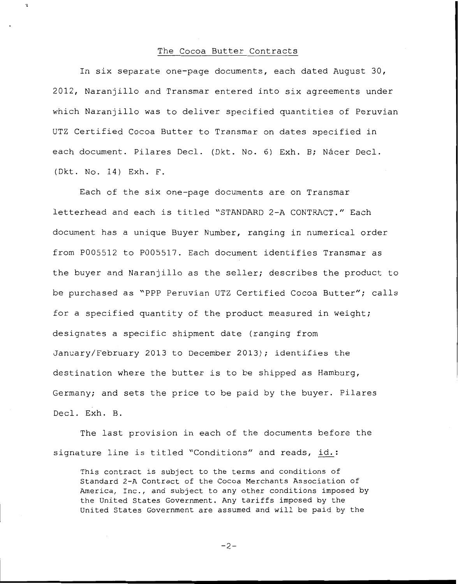# The Cocoa Butter Contracts

 $\overline{\mathbf{r}}$ 

In six separate one-page documents, each dated August 30, 2012, Naranjillo and Transmar entered into six agreements under which Naranjillo was to deliver specified quantities of Peruvian UTZ Certified Cocoa Butter to Transmar on dates specified in each document. Pilares Decl. (Dkt. No. 6) Exh. B; Nácer Decl. (Dkt. No. 14) Exh. F.

Each of the six one-page documents are on Transmar letterhead and each is titled "STANDARD 2-A CONTRACT." Each document has a unique Buyer Number, ranging in numerical order from P005512 to P005517. Each document identifies Transmar as the buyer and Naranjillo as the seller; describes the product to be purchased as "PPP Peruvian UTZ Certified Cocoa Butter"; calls for a specified quantity of the product measured in weight; designates a specific shipment date (ranging from January/February 2013 to December 2013); identifies the destination where the butter is to be shipped as Hamburg, Germany; and sets the price to be paid by the buyer. Pilares Decl. Exh. B.

The last provision in each of the documents before the signature line is titled "Conditions" and reads, id.:

This contract is subject to the terms and conditions of Standard 2-A Contract of the Cocoa Merchants Association of America, Inc., and subject to any other conditions imposed by the United States Government. Any tariffs imposed by the United States Government are assumed and will be paid by the

 $-2-$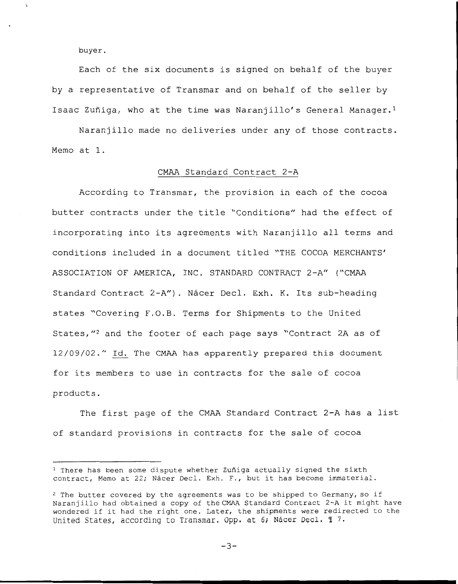buyer.

 $\ddot{\phantom{a}}$ 

Each of the six documents is signed on behalf of the buyer by a representative of Transmar and on behalf of the seller by Isaac Zuñiga, who at the time was Naranjillo's General Manager.<sup>1</sup>

Naranjillo made no deliveries under any of those contracts. Memo at 1.

### CMAA Standard Contract 2-A

According to Transmar, the provision in each of the cocoa butter contracts under the title "Conditions" had the effect of incorporating into its agreements with Naranjillo all terms and conditions included in a document titled "THE COCOA MERCHANTS' ASSOCIATION OF AMERICA, INC. STANDARD CONTRACT 2-A" ("CMAA Standard Contract 2-A"). Nácer Decl. Exh. K. Its sub-heading states "Covering F.O.B. Terms for Shipments to the United States, "<sup>2</sup> and the footer of each page says "Contract 2A as of 12/09/02." Id. The CMAA has apparently prepared this document for its members to use in contracts for the sale of cocoa products.

The first page of the CMAA Standard Contract 2-A has a list of standard provisions in contracts for the sale of cocoa

 $-3-$ 

 $1$  There has been some dispute whether Zuñiga actually signed the sixth contract, Memo at 22; Nácer Decl. Exh. F., but it has become immaterial.

<sup>&</sup>lt;sup>2</sup> The butter covered by the agreements was to be shipped to Germany, so if Naranjillo had obtained a copy of theCMAA Standard Contract 2-A it might have wondered if it had the right one. Later, the shipments were redirected to the United States, according to Transmar. Opp. at 6; Nácer Decl. 17.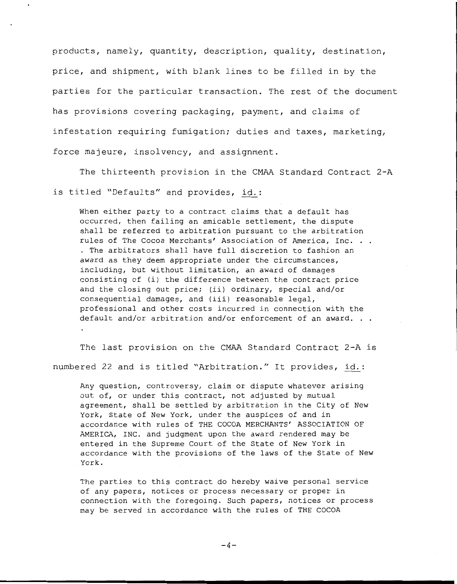products, namely, quantity, description, quality, destination, price, and shipment, with blank lines to be filled in by the parties for the particular transaction. The rest of the document has provisions covering packaging, payment, and claims of infestation requiring fumigation; duties and taxes, marketing, force majeure, insolvency, and assignment.

The thirteenth provision in the CMAA Standard Contract 2-A is titled "Defaults" and provides, id.:

When either party to a contract claims that a default has occurred, then failing an amicable settlement, the dispute shall be referred to arbitration pursuant to the arbitration rules of The Cocoa Merchants' Association of America, Inc. . . . The arbitrators shall have full discretion to fashion an award as they deem appropriate under the circumstances, including, but without limitation, an award of damages consisting of (i) the difference between the contract price and the closing out price; (ii) ordinary, special and/or consequential damages, and (iii) reasonable legal, professional and other costs incurred in connection with the default and/or arbitration and/or enforcement of an award. . .

The last provision on the CMAA Standard Contract 2-A is numbered 22 and is titled "Arbitration." It provides, id.:

Any question, controversy, claim or dispute whatever arising out of, or under this contract, not adjusted by mutual agreement, shall be settled by arbitration in the City of New York, State of New York, under the auspices of and in accordance with rules of THE COCOA MERCHANTS' ASSOCIATION OF AMERICA, INC. and judgment upon the award rendered may be entered in the Supreme Court of the State of New York in accordance with the provisions of the laws of the State of New York.

The parties to this contract do hereby waive personal service of any papers, notices or process necessary or proper in connection with the foregoing. Such papers, notices or process may be served in accordance with the rules of THE COCOA

 $-4-$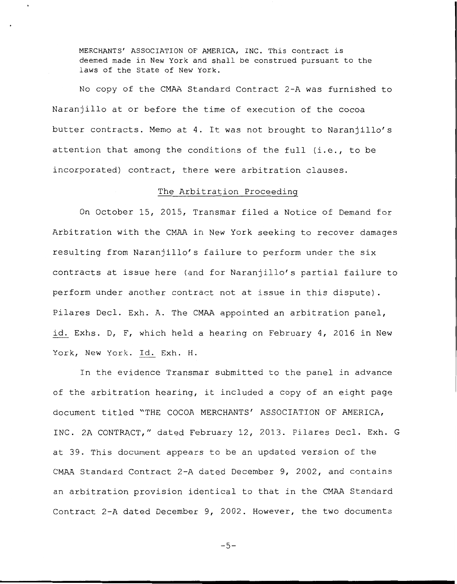MERCHANTS' ASSOCIATION OF AMERICA, INC. This contract is deemed made in New York and shall be construed pursuant to the laws of the State of New York.

No copy of the CMAA Standard Contract 2-A was furnished to Naranjillo at or before the time of execution of the cocoa butter contracts. Memo at 4. It was not brought to Naranjillo's attention that among the conditions of the full (i.e., to be incorporated) contract, there were arbitration clauses.

## The Arbitration Proceeding

On October 15, 2015, Transmar filed a Notice of Demand for Arbitration with the CMAA in New York seeking to recover damages resulting from Naranjillo's failure to perform under the six contracts at issue here (and for Naranjillo's partial failure to perform under another contract not at issue in this dispute) . Pilares Decl. Exh. A. The CMAA appointed an arbitration panel, id. Exhs. D, F, which held a hearing on February 4, 2016 in New York, New York. Id. Exh. H.

In the evidence Transmar submitted to the panel in advance of the arbitration hearing, it included a copy of an eight page document titled "THE COCOA MERCHANTS' ASSOCIATION OF AMERICA, INC. 2A CONTRACT," dated February 12, 2013. Pilares Decl. Exh. G at 39. This document appears to be an updated version of the CMAA Standard Contract 2-A dated December 9, 2002, and contains an arbitration provision identical to that in the CMAA Standard Contract 2-A dated December 9, 2002. However, the two documents

 $-5-$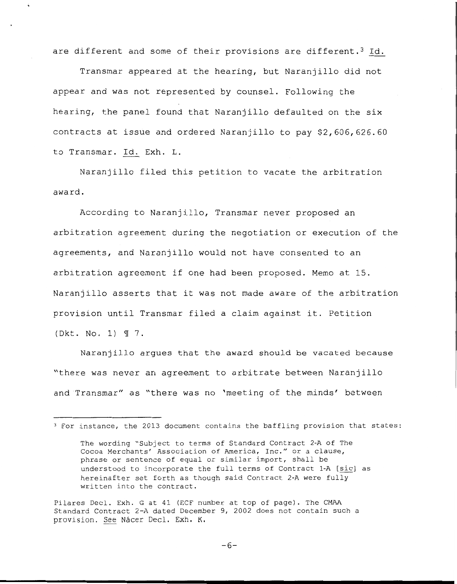are different and some of their provisions are different.<sup>3</sup> Id.

Transmar appeared at the hearing, but Naranjillo did not appear and was not represented by counsel. Following the hearing, the panel found that Naranjillo defaulted on the six contracts at issue and ordered Naranjillo to pay \$2,606,626.60 to Transmar. Id. Exh. L.

Naranjillo filed this petition to vacate the arbitration award.

According to Naranjillo, Transmar never proposed an arbitration agreement during the negotiation or execution of the agreements, and Naranjillo would not have consented to an arbitration agreement if one had been proposed. Memo at 15. Naranjillo asserts that it was not made aware of the arbitration provision until Transmar filed a claim against it. Petition (Dkt. No. 1) 7.

Naranjillo argues that the award should be vacated because "there was never an agreement to arbitrate between Naranjillo and Transmar" as "there was no 'meeting of the minds' between

Pilares Decl. Exh. G at 41 (ECF number at top of page). The CMAA Standard Contract 2-A dated December 9, 2002 does not contain such a provision. See Nácer Decl. Exh. K.

<sup>3</sup>For instance, the 2013 document contains the baffling provision that states:

The wording "Subject to terms of Standard Contract 2-A of The Cocoa Merchants' Association of America, Inc." or a clause, phrase or sentence of equal or similar import, shall be understood to incorporate the full terms of Contract 1-A [sic] as hereinafter set forth as though said Contract 2-A were fully written into the contract.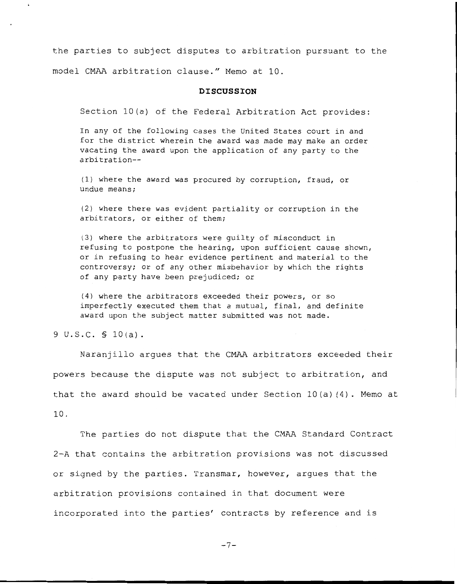the parties to subject disputes to arbitration pursuant to the model CMAA arbitration clause." Memo at 10.

#### **DISCUSSION**

Section 10(a) of the Federal Arbitration Act provides:

In any of the following cases the United States court in and for the district wherein the award was made may make an order vacating the award upon the application of any party to the arbitration--

(1) where the award was procured by corruption, fraud, or undue means;

(2) where there was evident partiality or corruption in the arbitrators, or either of them;

(3) where the arbitrators were guilty of misconduct in refusing to postpone the hearing, upon sufficient cause shown, or in refusing to hear evidence pertinent and material to the controversy; or of any other misbehavior by which the rights of any party have been prejudiced; or

(4) where the arbitrators exceeded their powers, or so imperfectly executed them that a mutual, final, and definite award upon the subject matter submitted was not made.

<sup>9</sup>u.s.c. § 10(a).

Naranjillo argues that the CMAA arbitrators exceeded their powers because the dispute was not subject to arbitration, and that the award should be vacated under Section 10(a) (4). Memo at 10.

The parties do not dispute that the CMAA Standard Contract 2-A that contains the arbitration provisions was not discussed or signed by the parties. Transmar, however, argues that the arbitration provisions contained in that document were incorporated into the parties' contracts by reference and is

-7-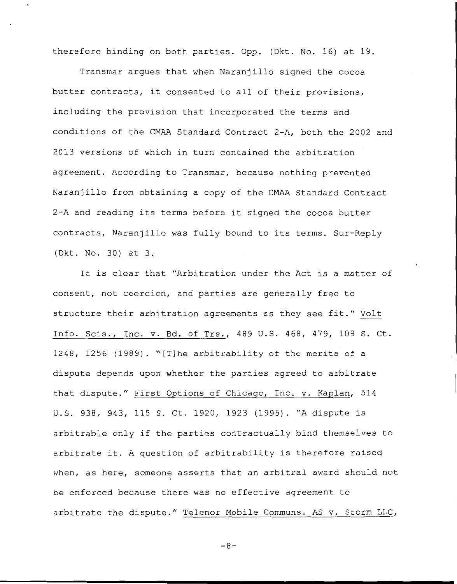therefore binding on both parties. Opp. (Dkt. No. 16) at 19.

Transmar argues that when Naranjillo signed the cocoa butter contracts, it consented to all of their provisions, including the provision that incorporated the terms and conditions of the CMAA Standard Contract 2-A, both the 2002 and 2013 versions of which in turn contained the arbitration agreement. According to Transmar, because nothing prevented Naranjillo from obtaining a copy of the CMAA Standard Contract 2-A and reading its terms before it signed the cocoa butter contracts, Naranjillo was fully bound to its terms. Sur-Reply (Dkt. No. 30) at 3.

It is clear that "Arbitration under the Act is a matter of consent, not coercion, and parties are generally free to structure their arbitration agreements as they see fit." Volt Info. Scis., Inc. v. Bd. of Trs., 489 U.S. 468, 479, 109 S. Ct. 1248, 1256 (1989). "[T]he arbitrability of the merits of a dispute depends upon whether the parties agreed to arbitrate that dispute." First Options of Chicago, Inc. v. Kaplan, 514 U.S. 938, 943, 115 S. Ct. 1920, 1923 (1995). "A dispute is arbitrable only if the parties contractually bind themselves to arbitrate it. A question of arbitrability is therefore raised when, as here, someone asserts that an arbitral award should not be enforced because there was no effective agreement to arbitrate the dispute." Telenor Mobile Communs. AS v. Storm LLC,

-8-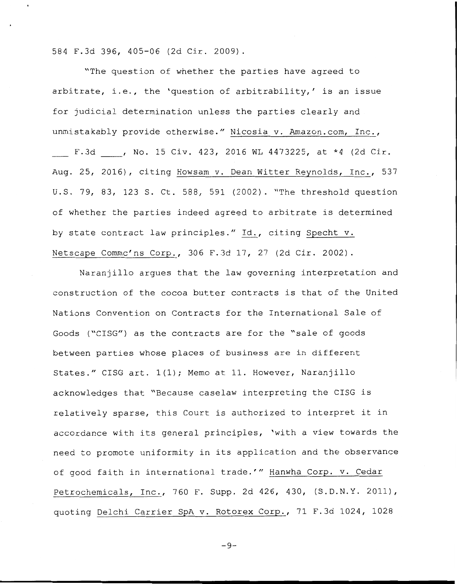584 F.3d 396, 405-06 (2d Cir. 2009).

"The question of whether the parties have agreed to arbitrate, i.e., the 'question of arbitrability,' is an issue for judicial determination unless the parties clearly and unmistakably provide otherwise." Nicosia v. Amazon.com, Inc., F.3d , No. 15 Civ. 423, 2016 WL 4473225, at \*4 (2d Cir. Aug. 25, 2016), citing Howsam v. Dean Witter Reynolds, Inc., 537 U.S. 79, 83, 123 S. Ct. 588, 591 (2002). "The threshold question of whether the parties indeed agreed to arbitrate is determined by state contract law principles." Id., citing Specht v. Netscape Commc'ns Corp., 306 F.3d 17, 27 (2d Cir. 2002).

Naranjillo argues that the law governing interpretation and construction of the cocoa butter contracts is that of the United Nations Convention on Contracts for the International Sale of Goods ("CISG") as the contracts are for the "sale of goods between parties whose places of business are in different States." CISG art. 1(1); Memo at 11. However, Naranjillo acknowledges that "Because caselaw interpreting the CISG is relatively sparse, this Court is authorized to interpret it in accordance with its general principles, 'with a view towards the need to promote uniformity in its application and the observance of good faith in international trade.'" Hanwha Corp. v. Cedar Petrochemicals, Inc., 760 F. Supp. 2d 426, 430, (S.D.N.Y. 2011), quoting Delchi Carrier SpA v. Rotorex Corp., 71 F.3d 1024, 1028

 $-9-$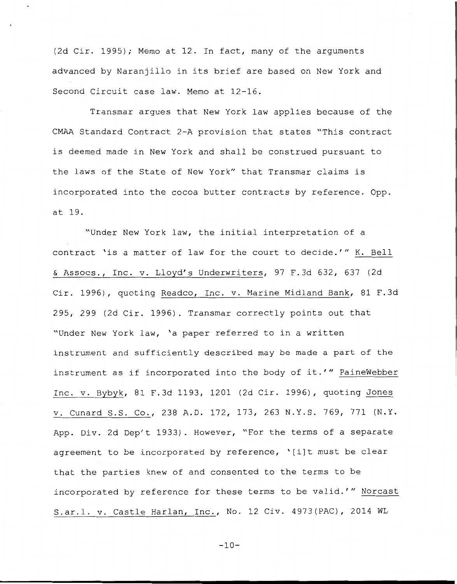(2d Cir. 1995); Memo at 12. In fact, many of the arguments advanced by Naranjillo in its brief are based on New York and Second Circuit case law. Memo at 12-16.

Transmar argues that New York law applies because of the CMAA Standard Contract 2-A provision that states "This contract is deemed made in New York and shall be construed pursuant to the laws of the State of New York" that Transmar claims is incorporated into the cocoa butter contracts by reference. Opp. at 19.

"Under New York law, the initial interpretation of a contract 'is a matter of law for the court to decide.'" K. Bell & Assocs., Inc. v. Lloyd's Underwriters, 97 F.3d 632, 637 (2d Cir. 1996), quoting Readco, Inc. v. Marine Midland Bank, 81 F.3d 295, 299 (2d Cir. 1996). Transmar correctly points out that "Under New York law, 'a paper referred to in a written instrument and sufficiently described may be made a part of the instrument as if incorporated into the body of it.'" PaineWebber Inc. v. Bybyk, 81 F.3d 1193, 1201 (2d Cir. 1996), quoting Jones v. Cunard S.S. Co., 238 A.D. 172, 173, 263 N.Y.S. 769, 771 (N.Y. App. Div. 2d Dep't 1933). However, "For the terms of a separate agreement to be incorporated by reference, '[i]t must be clear that the parties knew of and consented to the terms to be incorporated by reference for these terms to be valid.'" Norcast S.ar.l. v. Castle Harlan, Inc., No. 12 Civ. 4973(PAC), 2014 WL

 $-10-$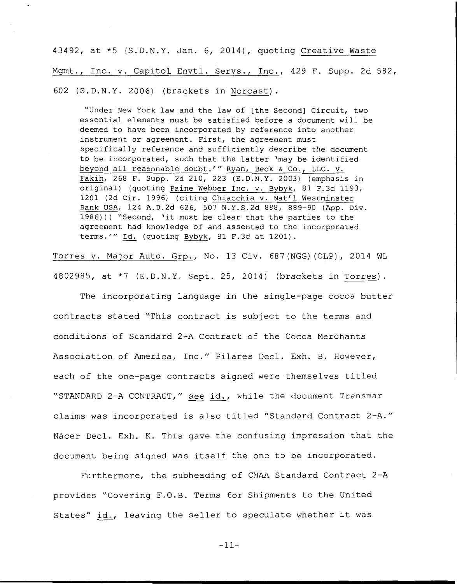43492, at \*5 (S.D.N.Y. Jan. 6, 2014), quoting Creative Waste Mgmt., Inc. v. Capitol Envtl. Servs., Inc., 429 F. Supp. 2d 582, 602 (S.D.N.Y. 2006) (brackets in Norcast).

"Under New York law and the law of [the Second] Circuit, two essential elements must be satisfied before a document will be deemed to have been incorporated by reference into another instrument or agreement. First, the agreement must specifically reference and sufficiently describe the document to be incorporated, such that the latter 'may be identified beyond all reasonable doubt.'" Ryan, Beck & Co., LLC. v. Fakih, 268 F. Supp. 2d 210, 223 (E.D.N.Y. 2003) (emphasis in original) (quoting Paine Webber Inc. v. Bybyk, 81 F.3d 1193, 1201 (2d Cir. 1996) (citing Chiacchia v. Nat'l Westminster Bank USA, 124 A.D.2d 626, 507 N.Y.S.2d 888, 889-90 (App. Div. 1986))) "Second, 'it must be clear that the parties to the agreement had knowledge of and assented to the incorporated terms."' Id. (quoting Bybyk, 81 F.3d at 1201).

Torres v. Major Auto. Grp., No. 13 Civ. 687 (NGG) (CLP), 2014 WL 4802985, at \*7 (E.D.N.Y. Sept. 25, 2014) (brackets in Torres).

The incorporating language in the single-page cocoa butter contracts stated "This contract is subject to the terms and conditions of Standard 2-A Contract of the Cocoa Merchants Association of America, Inc." Pilares Decl. Exh. B. However, each of the one-page contracts signed were themselves titled "STANDARD 2-A CONTRACT," see id., while the document Transmar claims was incorporated is also titled "Standard Contract 2-A." Nácer Decl. Exh. K. This gave the confusing impression that the document being signed was itself the one to be incorporated.

Furthermore, the subheading of CMAA Standard Contract 2-A provides "Covering F.O.B. Terms for Shipments to the United States" id., leaving the seller to speculate whether it was

-11-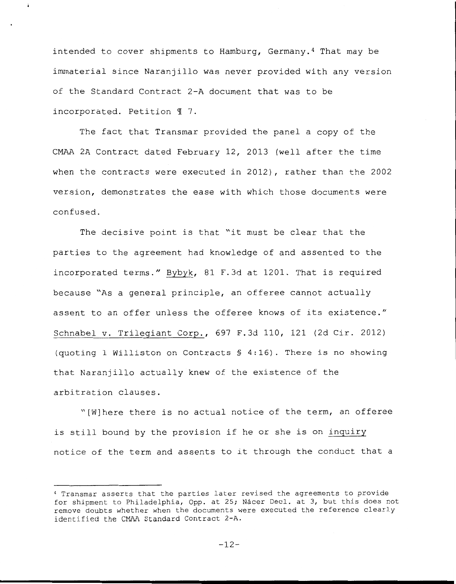intended to cover shipments to Hamburg, Germany.<sup>4</sup> That may be immaterial since Naranjillo was never provided with any version of the Standard Contract 2-A document that was to be incorporated. Petition  $\P$  7.

 $\ddot{\bullet}$ 

The fact that Transmar provided the panel a copy of the CMAA 2A Contract dated February 12, 2013 (well after the time when the contracts were executed in 2012), rather than the 2002 version, demonstrates the ease with which those documents were confused.

The decisive point is that "it must be clear that the parties to the agreement had knowledge of and assented to the incorporated terms." Bybyk, 81 F.3d at 1201. That is required because "As a general principle, an offeree cannot actually assent to an offer unless the offeree knows of its existence." Schnabel v. Trilegiant Corp., 697 F.3d 110, 121 (2d Cir. 2012) (quoting 1 Williston on Contracts § 4:16). There is no showing that Naranjillo actually knew of the existence of the arbitration clauses.

"[W]here there is no actual notice of the term, an offeree is still bound by the provision if he or she is on inquiry notice of the term and assents to it through the conduct that a

<sup>4</sup>Transmar asserts that the parties later revised the agreements to provide for shipment to Philadelphia, Opp. at 25; Nácer Decl. at 3, but this does not remove doubts whether when the documents were executed the reference clearly identified the CMAA Standard Contract 2-A.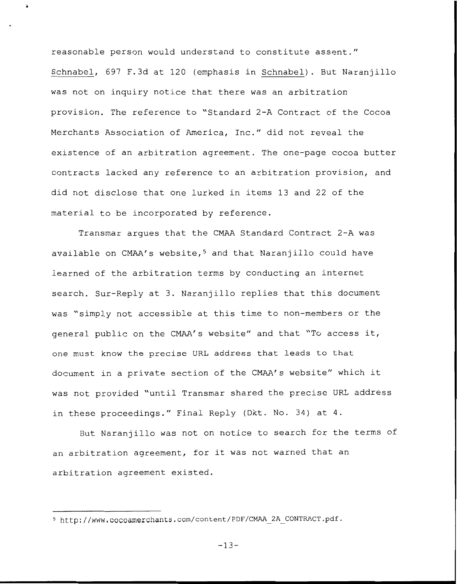reasonable person would understand to constitute assent." Schnabel, 697 F. 3d at 120 (emphasis in Schnabel). But Naranjillo was not on inquiry notice that there was an arbitration provision. The reference to "Standard 2-A Contract of the Cocoa Merchants Association of America, Inc." did not reveal the existence of an arbitration agreement. The one-page cocoa butter contracts lacked any reference to an arbitration provision, and did not disclose that one lurked in items 13 and 22 of the material to be incorporated by reference.

Transmar argues that the CMAA Standard Contract 2-A was available on CMAA's website,<sup>5</sup> and that Naranjillo could have learned of the arbitration terms by conducting an internet search. Sur-Reply at 3. Naranjillo replies that this document was "simply not accessible at this time to non-members or the general public on the CMAA's website" and that "To access it, one must know the precise URL address that leads to that document in a private section of the CMAA's website" which it was not provided "until Transmar shared the precise URL address in these proceedings." Final Reply (Dkt. No. 34) at 4.

But Naranjillo was not on notice to search for the terms of an arbitration agreement, for it was not warned that an arbitration agreement existed.

 $-13-$ 

<sup>5</sup>http://www.cocoamerchants.com/content/PDF/CMAA\_2A\_CONTRACT.pdf.